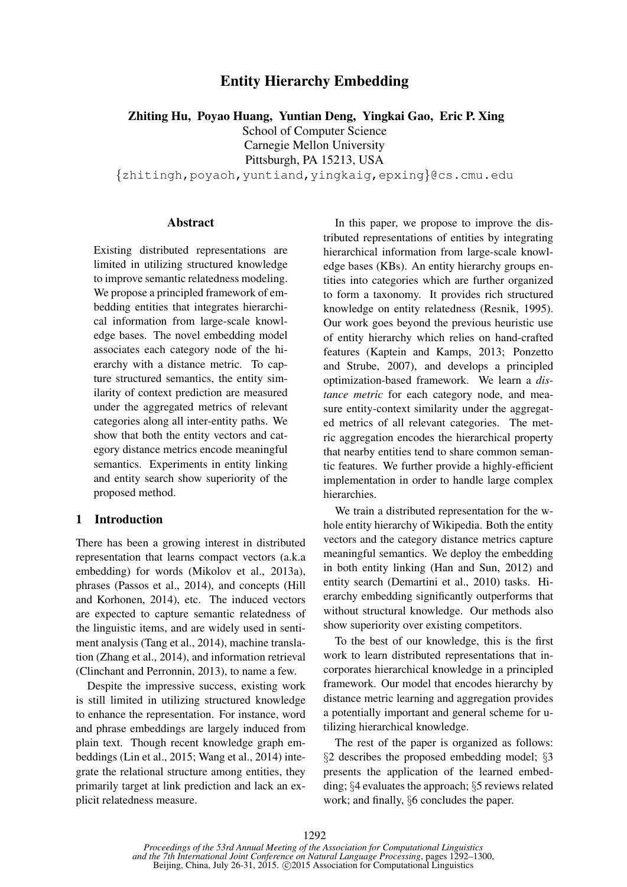# Entity Hierarchy Embedding

Zhiting Hu, Poyao Huang, Yuntian Deng, Yingkai Gao, Eric P. Xing

School of Computer Science

Carnegie Mellon University

Pittsburgh, PA 15213, USA

{zhitingh,poyaoh,yuntiand,yingkaig,epxing}@cs.cmu.edu

#### Abstract

Existing distributed representations are limited in utilizing structured knowledge to improve semantic relatedness modeling. We propose a principled framework of embedding entities that integrates hierarchical information from large-scale knowledge bases. The novel embedding model associates each category node of the hierarchy with a distance metric. To capture structured semantics, the entity similarity of context prediction are measured under the aggregated metrics of relevant categories along all inter-entity paths. We show that both the entity vectors and category distance metrics encode meaningful semantics. Experiments in entity linking and entity search show superiority of the proposed method.

### 1 Introduction

There has been a growing interest in distributed representation that learns compact vectors (a.k.a embedding) for words (Mikolov et al., 2013a), phrases (Passos et al., 2014), and concepts (Hill and Korhonen, 2014), etc. The induced vectors are expected to capture semantic relatedness of the linguistic items, and are widely used in sentiment analysis (Tang et al., 2014), machine translation (Zhang et al., 2014), and information retrieval (Clinchant and Perronnin, 2013), to name a few.

Despite the impressive success, existing work is still limited in utilizing structured knowledge to enhance the representation. For instance, word and phrase embeddings are largely induced from plain text. Though recent knowledge graph embeddings (Lin et al., 2015; Wang et al., 2014) integrate the relational structure among entities, they primarily target at link prediction and lack an explicit relatedness measure.

In this paper, we propose to improve the distributed representations of entities by integrating hierarchical information from large-scale knowledge bases (KBs). An entity hierarchy groups entities into categories which are further organized to form a taxonomy. It provides rich structured knowledge on entity relatedness (Resnik, 1995). Our work goes beyond the previous heuristic use of entity hierarchy which relies on hand-crafted features (Kaptein and Kamps, 2013; Ponzetto and Strube, 2007), and develops a principled optimization-based framework. We learn a *distance metric* for each category node, and measure entity-context similarity under the aggregated metrics of all relevant categories. The metric aggregation encodes the hierarchical property that nearby entities tend to share common semantic features. We further provide a highly-efficient implementation in order to handle large complex hierarchies.

We train a distributed representation for the whole entity hierarchy of Wikipedia. Both the entity vectors and the category distance metrics capture meaningful semantics. We deploy the embedding in both entity linking (Han and Sun, 2012) and entity search (Demartini et al., 2010) tasks. Hierarchy embedding significantly outperforms that without structural knowledge. Our methods also show superiority over existing competitors.

To the best of our knowledge, this is the first work to learn distributed representations that incorporates hierarchical knowledge in a principled framework. Our model that encodes hierarchy by distance metric learning and aggregation provides a potentially important and general scheme for utilizing hierarchical knowledge.

The rest of the paper is organized as follows: §2 describes the proposed embedding model; §3 presents the application of the learned embedding; §4 evaluates the approach; §5 reviews related work; and finally, §6 concludes the paper.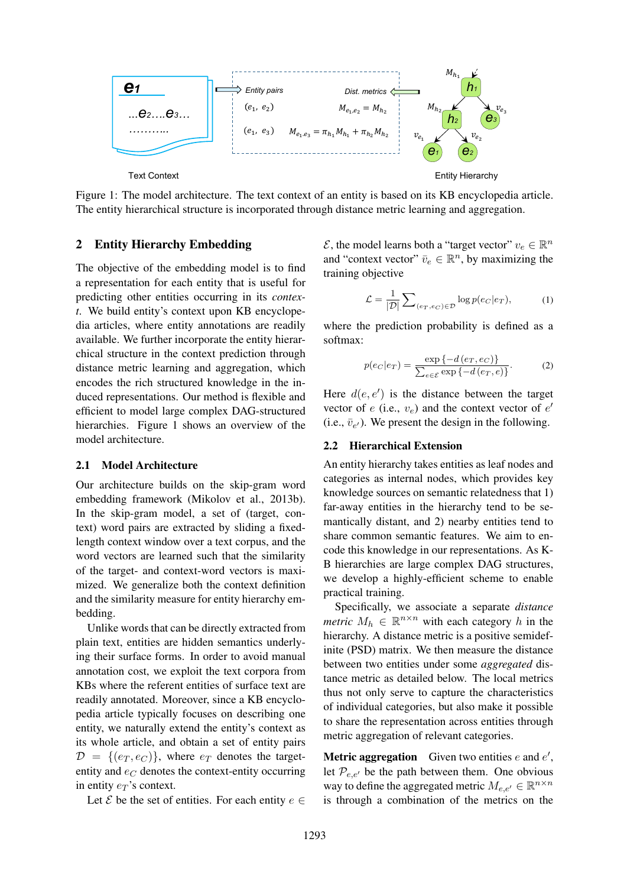

Figure 1: The model architecture. The text context of an entity is based on its KB encyclopedia article. The entity hierarchical structure is incorporated through distance metric learning and aggregation.

### 2 Entity Hierarchy Embedding

The objective of the embedding model is to find a representation for each entity that is useful for predicting other entities occurring in its *context*. We build entity's context upon KB encyclopedia articles, where entity annotations are readily available. We further incorporate the entity hierarchical structure in the context prediction through distance metric learning and aggregation, which encodes the rich structured knowledge in the induced representations. Our method is flexible and efficient to model large complex DAG-structured hierarchies. Figure 1 shows an overview of the model architecture.

#### 2.1 Model Architecture

Our architecture builds on the skip-gram word embedding framework (Mikolov et al., 2013b). In the skip-gram model, a set of (target, context) word pairs are extracted by sliding a fixedlength context window over a text corpus, and the word vectors are learned such that the similarity of the target- and context-word vectors is maximized. We generalize both the context definition and the similarity measure for entity hierarchy embedding.

Unlike words that can be directly extracted from plain text, entities are hidden semantics underlying their surface forms. In order to avoid manual annotation cost, we exploit the text corpora from KBs where the referent entities of surface text are readily annotated. Moreover, since a KB encyclopedia article typically focuses on describing one entity, we naturally extend the entity's context as its whole article, and obtain a set of entity pairs  $\mathcal{D} = \{ (e_T, e_C) \}$ , where  $e_T$  denotes the targetentity and  $e_C$  denotes the context-entity occurring in entity  $e_T$ 's context.

Let  $\mathcal E$  be the set of entities. For each entity  $e \in$ 

 $\mathcal{E}$ , the model learns both a "target vector"  $v_e \in \mathbb{R}^n$ and "context vector"  $\bar{v}_e \in \mathbb{R}^n$ , by maximizing the training objective

$$
\mathcal{L} = \frac{1}{|\mathcal{D}|} \sum_{(e_T, e_C) \in \mathcal{D}} \log p(e_C|e_T), \tag{1}
$$

where the prediction probability is defined as a softmax:

$$
p(e_C|e_T) = \frac{\exp\{-d\left(e_T, e_C\right)\}}{\sum_{e \in \mathcal{E}} \exp\{-d\left(e_T, e\right)\}}.\tag{2}
$$

Here  $d(e, e')$  is the distance between the target vector of  $e$  (i.e.,  $v_e$ ) and the context vector of  $e'$ (i.e.,  $\bar{v}_{e'}$ ). We present the design in the following.

#### 2.2 Hierarchical Extension

An entity hierarchy takes entities as leaf nodes and categories as internal nodes, which provides key knowledge sources on semantic relatedness that 1) far-away entities in the hierarchy tend to be semantically distant, and 2) nearby entities tend to share common semantic features. We aim to encode this knowledge in our representations. As K-B hierarchies are large complex DAG structures, we develop a highly-efficient scheme to enable practical training.

Specifically, we associate a separate *distance metric*  $M_h \in \mathbb{R}^{n \times n}$  with each category h in the hierarchy. A distance metric is a positive semidefinite (PSD) matrix. We then measure the distance between two entities under some *aggregated* distance metric as detailed below. The local metrics thus not only serve to capture the characteristics of individual categories, but also make it possible to share the representation across entities through metric aggregation of relevant categories.

**Metric aggregation** Given two entities e and  $e'$ , let  $P_{e,e'}$  be the path between them. One obvious way to define the aggregated metric  $M_{e,e'} \in \mathbb{R}^{n \times n}$ is through a combination of the metrics on the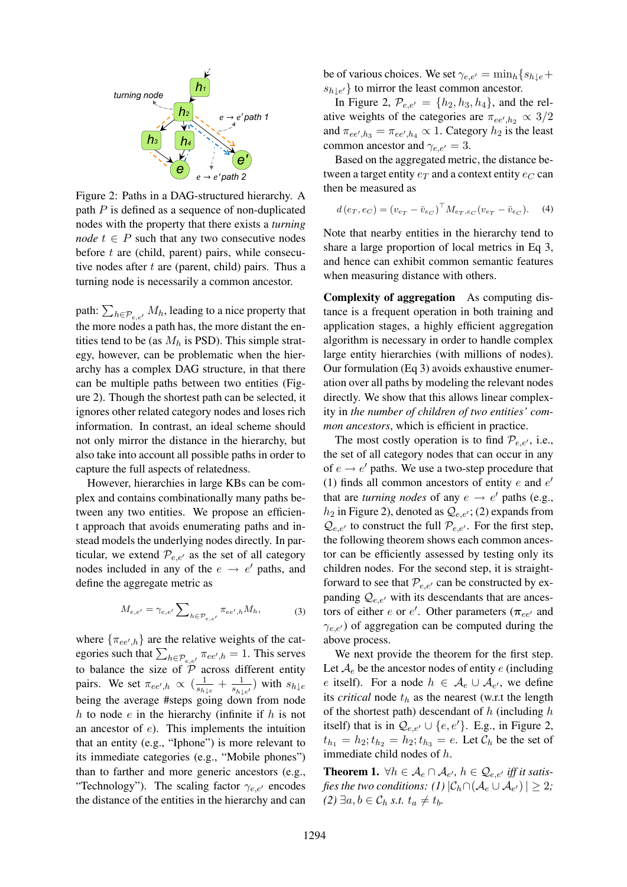

Figure 2: Paths in a DAG-structured hierarchy. A path  $P$  is defined as a sequence of non-duplicated nodes with the property that there exists a *turning node*  $t \in P$  such that any two consecutive nodes before  $t$  are (child, parent) pairs, while consecutive nodes after  $t$  are (parent, child) pairs. Thus a turning node is necessarily a common ancestor.

path:  $\sum_{h \in \mathcal{P}_{e,e'}} M_h$ , leading to a nice property that the more nodes a path has, the more distant the entities tend to be (as  $M_h$  is PSD). This simple strategy, however, can be problematic when the hierarchy has a complex DAG structure, in that there can be multiple paths between two entities (Figure 2). Though the shortest path can be selected, it ignores other related category nodes and loses rich information. In contrast, an ideal scheme should not only mirror the distance in the hierarchy, but also take into account all possible paths in order to capture the full aspects of relatedness.

However, hierarchies in large KBs can be complex and contains combinationally many paths between any two entities. We propose an efficient approach that avoids enumerating paths and instead models the underlying nodes directly. In particular, we extend  $\mathcal{P}_{e,e'}$  as the set of all category nodes included in any of the  $e \rightarrow e'$  paths, and define the aggregate metric as

$$
M_{e,e'} = \gamma_{e,e'} \sum_{h \in \mathcal{P}_{e,e'}} \pi_{ee',h} M_h,
$$
 (3)

where  $\{\pi_{ee',h}\}$  are the relative weights of the categories such that  $\sum_{h \in \mathcal{P}_{e,e'}} \pi_{ee',h} = 1$ . This serves to balance the size of  $\overline{P}$  across different entity pairs. We set  $\pi_{ee',h} \propto \left(\frac{1}{s_h}\right)$  $\frac{1}{s_{h\downarrow e}} + \frac{1}{s_{h\downarrow e}}$  $\frac{1}{s_{h\downarrow e'}}$ ) with  $s_{h\downarrow e}$ being the average #steps going down from node h to node  $e$  in the hierarchy (infinite if  $h$  is not an ancestor of e). This implements the intuition that an entity (e.g., "Iphone") is more relevant to its immediate categories (e.g., "Mobile phones") than to farther and more generic ancestors (e.g., "Technology"). The scaling factor  $\gamma_{e,e'}$  encodes the distance of the entities in the hierarchy and can

be of various choices. We set  $\gamma_{e,e'} = \min_h \{s_{h\perp e}+\}$  $s_{h\downarrow e'}$ } to mirror the least common ancestor.

In Figure 2,  $P_{e,e'} = \{h_2, h_3, h_4\}$ , and the relative weights of the categories are  $\pi_{ee',h_2} \propto 3/2$ and  $\pi_{ee',h_3} = \pi_{ee',h_4} \propto 1$ . Category  $h_2$  is the least common ancestor and  $\gamma_{e,e'} = 3$ .

Based on the aggregated metric, the distance between a target entity  $e_T$  and a context entity  $e_C$  can then be measured as

$$
d(e_T, e_C) = (v_{e_T} - \bar{v}_{e_C})^{\top} M_{e_T, e_C} (v_{e_T} - \bar{v}_{e_C}).
$$
 (4)

Note that nearby entities in the hierarchy tend to share a large proportion of local metrics in Eq 3, and hence can exhibit common semantic features when measuring distance with others.

Complexity of aggregation As computing distance is a frequent operation in both training and application stages, a highly efficient aggregation algorithm is necessary in order to handle complex large entity hierarchies (with millions of nodes). Our formulation (Eq 3) avoids exhaustive enumeration over all paths by modeling the relevant nodes directly. We show that this allows linear complexity in *the number of children of two entities' common ancestors*, which is efficient in practice.

The most costly operation is to find  $\mathcal{P}_{e,e'}$ , i.e., the set of all category nodes that can occur in any of  $e \rightarrow e'$  paths. We use a two-step procedure that (1) finds all common ancestors of entity  $e$  and  $e'$ that are *turning nodes* of any  $e \rightarrow e'$  paths (e.g.,  $h_2$  in Figure 2), denoted as  $Q_{e,e'}$ ; (2) expands from  $Q_{e,e'}$  to construct the full  $\mathcal{P}_{e,e'}$ . For the first step, the following theorem shows each common ancestor can be efficiently assessed by testing only its children nodes. For the second step, it is straightforward to see that  $P_{e,e'}$  can be constructed by expanding  $Q_{e,e'}$  with its descendants that are ancestors of either *e* or *e'*. Other parameters ( $\pi_{ee'}$  and  $\gamma_{e,e'}$ ) of aggregation can be computed during the above process.

We next provide the theorem for the first step. Let  $\mathcal{A}_e$  be the ancestor nodes of entity e (including e itself). For a node  $h \in \mathcal{A}_e \cup \mathcal{A}_{e'}$ , we define its *critical* node  $t<sub>h</sub>$  as the nearest (w.r.t the length of the shortest path) descendant of  $h$  (including  $h$ ) itself) that is in  $Q_{e,e'} \cup \{e,e'\}$ . E.g., in Figure 2,  $t_{h_1} = h_2$ ;  $t_{h_2} = h_2$ ;  $t_{h_3} = e$ . Let  $C_h$  be the set of immediate child nodes of h.

**Theorem 1.**  $\forall h \in A_e \cap A_{e'}, h \in \mathcal{Q}_{e,e'}$  *iff it satis*fies the two conditions: (1)  $|\mathcal{C}_h \cap (\mathcal{A}_{e} \cup \mathcal{A}_{e'})| \geq 2;$ *(2)* ∃*a*, *b* ∈  $\mathcal{C}_h$  *s.t.*  $t_a \neq t_b$ .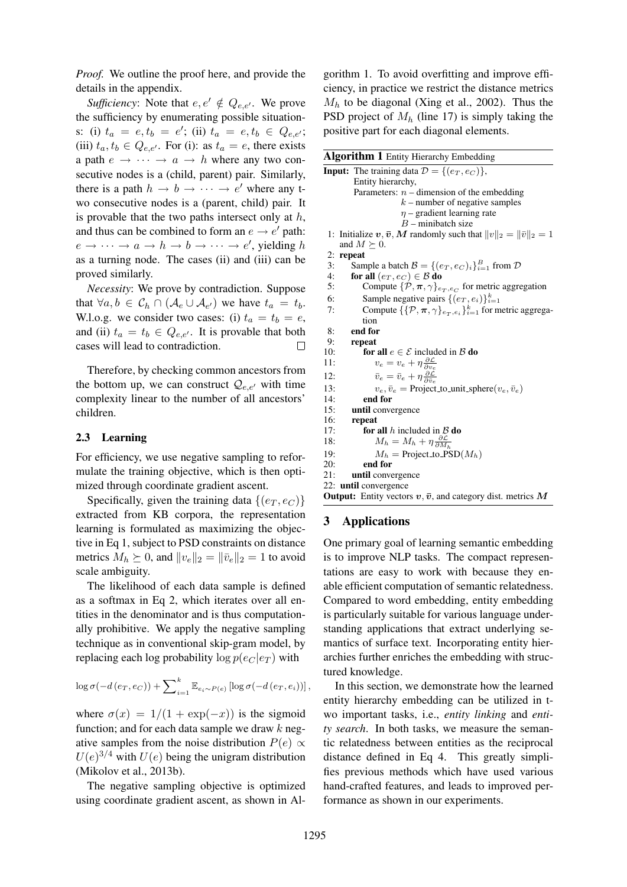*Proof.* We outline the proof here, and provide the details in the appendix.

*Sufficiency*: Note that  $e, e' \notin Q_{e,e'}$ . We prove the sufficiency by enumerating possible situations: (i)  $t_a = e, t_b = e'$ ; (ii)  $t_a = e, t_b \in Q_{e,e'}$ ; (iii)  $t_a, t_b \in Q_{e,e'}$ . For (i): as  $t_a = e$ , there exists a path  $e \rightarrow \cdots \rightarrow a \rightarrow h$  where any two consecutive nodes is a (child, parent) pair. Similarly, there is a path  $h \to b \to \cdots \to e'$  where any two consecutive nodes is a (parent, child) pair. It is provable that the two paths intersect only at  $h$ , and thus can be combined to form an  $e \rightarrow e'$  path:  $e \rightarrow \cdots \rightarrow a \rightarrow h \rightarrow b \rightarrow \cdots \rightarrow e'$ , yielding h as a turning node. The cases (ii) and (iii) can be proved similarly.

*Necessity*: We prove by contradiction. Suppose that  $\forall a, b \in C_h \cap (A_e \cup A_{e'})$  we have  $t_a = t_b$ . W.l.o.g. we consider two cases: (i)  $t_a = t_b = e$ , and (ii)  $t_a = t_b \in Q_{e,e'}$ . It is provable that both cases will lead to contradiction.

Therefore, by checking common ancestors from the bottom up, we can construct  $\mathcal{Q}_{e,e'}$  with time complexity linear to the number of all ancestors' children.

### 2.3 Learning

For efficiency, we use negative sampling to reformulate the training objective, which is then optimized through coordinate gradient ascent.

Specifically, given the training data  $\{(e_T, e_C)\}\$ extracted from KB corpora, the representation learning is formulated as maximizing the objective in Eq 1, subject to PSD constraints on distance metrics  $M_h \succeq 0$ , and  $||v_e||_2 = ||\bar{v}_e||_2 = 1$  to avoid scale ambiguity.

The likelihood of each data sample is defined as a softmax in Eq 2, which iterates over all entities in the denominator and is thus computationally prohibitive. We apply the negative sampling technique as in conventional skip-gram model, by replacing each log probability  $\log p(e_C|e_T)$  with

$$
\log \sigma(-d(e_T, e_C)) + \sum\nolimits_{i=1}^k \mathbb{E}_{e_i \sim P(e)} \left[ \log \sigma(-d(e_T, e_i)) \right],
$$

where  $\sigma(x) = 1/(1 + \exp(-x))$  is the sigmoid function; and for each data sample we draw  $k$  negative samples from the noise distribution  $P(e) \propto$  $U(e)^{3/4}$  with  $U(e)$  being the unigram distribution (Mikolov et al., 2013b).

The negative sampling objective is optimized using coordinate gradient ascent, as shown in Al-

gorithm 1. To avoid overfitting and improve efficiency, in practice we restrict the distance metrics  $M_h$  to be diagonal (Xing et al., 2002). Thus the PSD project of  $M_h$  (line 17) is simply taking the positive part for each diagonal elements.

| Algorithm 1 Entity Hierarchy Embedding                                                  |
|-----------------------------------------------------------------------------------------|
| <b>Input:</b> The training data $\mathcal{D} = \{(e_T, e_C)\}\,$                        |
| Entity hierarchy,                                                                       |
| Parameters: $n-$ dimension of the embedding                                             |
| $k$ – number of negative samples                                                        |
| $\eta$ – gradient learning rate                                                         |
| $B$ – minibatch size                                                                    |
| Initialize $v, \bar{v}, M$ randomly such that $  v  _2 =   \bar{v}  _2 = 1$<br>1:       |
| and $M \succeq 0$ .                                                                     |
| repeat<br>2:                                                                            |
| Sample a batch $\mathcal{B} = \{(e_T, e_C)_i\}_{i=1}^B$ from $\mathcal{D}$<br>3:        |
| 4:<br>for all $(e_T, e_C) \in \mathcal{B}$ do                                           |
| Compute $\{\mathcal{P}, \pi, \gamma\}_{e_T, e_C}$ for metric aggregation<br>5:          |
| Sample negative pairs $\{(e_T, e_i)\}_{i=1}^k$<br>6:                                    |
| Compute $\{\{\mathcal{P}, \pi, \gamma\}_{e_T, e_i}\}_{i=1}^k$ for metric aggrega-<br>7: |
| tion                                                                                    |
| end for<br>8:                                                                           |
| 9:<br>repeat                                                                            |
| 10:<br>for all $e \in \mathcal{E}$ included in $\mathcal{B}$ do                         |
| $v_e = v_e + \eta \frac{\partial \mathcal{L}}{\partial v_e}$<br>11:                     |
| $\bar{v}_e = \bar{v}_e + \eta \frac{\partial \mathcal{L}}{\partial \bar{v}_e}$<br>12:   |
| 13:<br>$v_e, \bar{v}_e$ = Project_to_unit_sphere $(v_e, \bar{v}_e)$                     |
| 14:<br>end for                                                                          |
| 15:<br>until convergence                                                                |
| 16:<br>repeat                                                                           |
| for all h included in $\beta$ do<br>17:                                                 |
| $M_h = M_h + \eta \frac{\partial \mathcal{L}}{\partial M_h}$<br>18:                     |
| 19:<br>$M_h$ = Project_to_PSD( $M_h$ )                                                  |
| end for<br>20:                                                                          |
| 21:<br>until convergence                                                                |
| 22: <b>until</b> convergence                                                            |
| <b>Output:</b> Entity vectors $v, \bar{v}$ , and category dist. metrics M               |

# 3 Applications

One primary goal of learning semantic embedding is to improve NLP tasks. The compact representations are easy to work with because they enable efficient computation of semantic relatedness. Compared to word embedding, entity embedding is particularly suitable for various language understanding applications that extract underlying semantics of surface text. Incorporating entity hierarchies further enriches the embedding with structured knowledge.

In this section, we demonstrate how the learned entity hierarchy embedding can be utilized in two important tasks, i.e., *entity linking* and *entity search*. In both tasks, we measure the semantic relatedness between entities as the reciprocal distance defined in Eq 4. This greatly simplifies previous methods which have used various hand-crafted features, and leads to improved performance as shown in our experiments.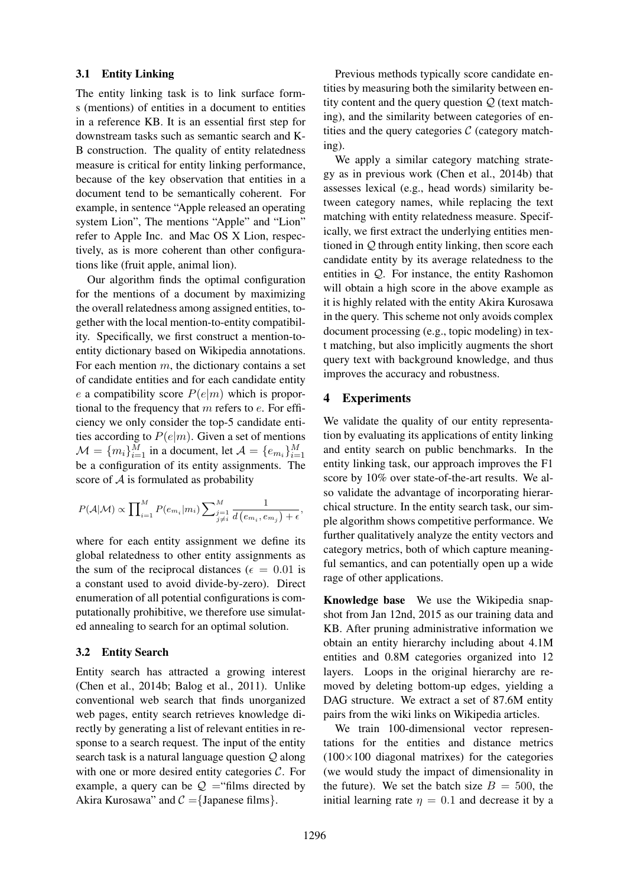#### 3.1 Entity Linking

The entity linking task is to link surface forms (mentions) of entities in a document to entities in a reference KB. It is an essential first step for downstream tasks such as semantic search and K-B construction. The quality of entity relatedness measure is critical for entity linking performance, because of the key observation that entities in a document tend to be semantically coherent. For example, in sentence "Apple released an operating system Lion", The mentions "Apple" and "Lion" refer to Apple Inc. and Mac OS X Lion, respectively, as is more coherent than other configurations like (fruit apple, animal lion).

Our algorithm finds the optimal configuration for the mentions of a document by maximizing the overall relatedness among assigned entities, together with the local mention-to-entity compatibility. Specifically, we first construct a mention-toentity dictionary based on Wikipedia annotations. For each mention  $m$ , the dictionary contains a set of candidate entities and for each candidate entity e a compatibility score  $P(e|m)$  which is proportional to the frequency that  $m$  refers to  $e$ . For efficiency we only consider the top-5 candidate entities according to  $P(e|m)$ . Given a set of mentions  $\mathcal{M} = \{m_i\}_{i=1}^M$  in a document, let  $\mathcal{A} = \{e_{m_i}\}_{i=1}^M$ be a configuration of its entity assignments. The score of A is formulated as probability

$$
P(\mathcal{A}|\mathcal{M}) \propto \prod_{i=1}^{M} P(e_{m_i}|m_i) \sum_{\substack{j=1 \ j \neq i}}^{M} \frac{1}{d(e_{m_i}, e_{m_j}) + \epsilon},
$$

where for each entity assignment we define its global relatedness to other entity assignments as the sum of the reciprocal distances ( $\epsilon = 0.01$  is a constant used to avoid divide-by-zero). Direct enumeration of all potential configurations is computationally prohibitive, we therefore use simulated annealing to search for an optimal solution.

### 3.2 Entity Search

Entity search has attracted a growing interest (Chen et al., 2014b; Balog et al., 2011). Unlike conventional web search that finds unorganized web pages, entity search retrieves knowledge directly by generating a list of relevant entities in response to a search request. The input of the entity search task is a natural language question Q along with one or more desired entity categories  $\mathcal{C}$ . For example, a query can be  $\mathcal{Q}$  = "films directed by Akira Kurosawa" and  $C = \{$  Japanese films $\}$ .

Previous methods typically score candidate entities by measuring both the similarity between entity content and the query question  $Q$  (text matching), and the similarity between categories of entities and the query categories  $C$  (category matching).

We apply a similar category matching strategy as in previous work (Chen et al., 2014b) that assesses lexical (e.g., head words) similarity between category names, while replacing the text matching with entity relatedness measure. Specifically, we first extract the underlying entities mentioned in  $Q$  through entity linking, then score each candidate entity by its average relatedness to the entities in  $Q$ . For instance, the entity Rashomon will obtain a high score in the above example as it is highly related with the entity Akira Kurosawa in the query. This scheme not only avoids complex document processing (e.g., topic modeling) in text matching, but also implicitly augments the short query text with background knowledge, and thus improves the accuracy and robustness.

### 4 Experiments

We validate the quality of our entity representation by evaluating its applications of entity linking and entity search on public benchmarks. In the entity linking task, our approach improves the F1 score by 10% over state-of-the-art results. We also validate the advantage of incorporating hierarchical structure. In the entity search task, our simple algorithm shows competitive performance. We further qualitatively analyze the entity vectors and category metrics, both of which capture meaningful semantics, and can potentially open up a wide rage of other applications.

Knowledge base We use the Wikipedia snapshot from Jan 12nd, 2015 as our training data and KB. After pruning administrative information we obtain an entity hierarchy including about 4.1M entities and 0.8M categories organized into 12 layers. Loops in the original hierarchy are removed by deleting bottom-up edges, yielding a DAG structure. We extract a set of 87.6M entity pairs from the wiki links on Wikipedia articles.

We train 100-dimensional vector representations for the entities and distance metrics  $(100\times100)$  diagonal matrixes) for the categories (we would study the impact of dimensionality in the future). We set the batch size  $B = 500$ , the initial learning rate  $\eta = 0.1$  and decrease it by a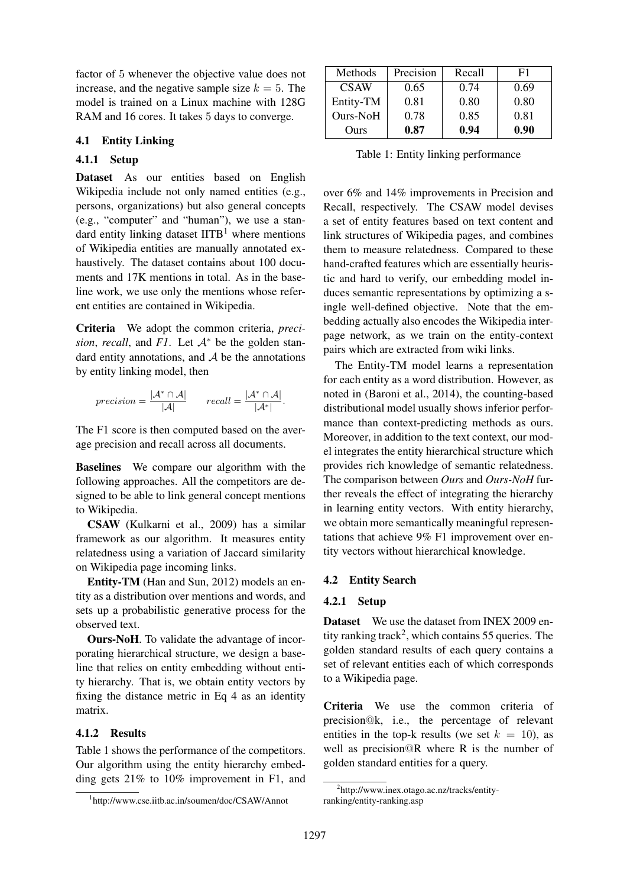factor of 5 whenever the objective value does not increase, and the negative sample size  $k = 5$ . The model is trained on a Linux machine with 128G RAM and 16 cores. It takes 5 days to converge.

#### 4.1 Entity Linking

### 4.1.1 Setup

Dataset As our entities based on English Wikipedia include not only named entities (e.g., persons, organizations) but also general concepts (e.g., "computer" and "human"), we use a standard entity linking dataset  $IITB<sup>1</sup>$  where mentions of Wikipedia entities are manually annotated exhaustively. The dataset contains about 100 documents and 17K mentions in total. As in the baseline work, we use only the mentions whose referent entities are contained in Wikipedia.

Criteria We adopt the common criteria, *precision, recall, and F1.* Let  $A^*$  be the golden standard entity annotations, and  $A$  be the annotations by entity linking model, then

$$
precision = \frac{|\mathcal{A}^* \cap \mathcal{A}|}{|\mathcal{A}|} \qquad recall = \frac{|\mathcal{A}^* \cap \mathcal{A}|}{|\mathcal{A}^*|}.
$$

The F1 score is then computed based on the average precision and recall across all documents.

Baselines We compare our algorithm with the following approaches. All the competitors are designed to be able to link general concept mentions to Wikipedia.

CSAW (Kulkarni et al., 2009) has a similar framework as our algorithm. It measures entity relatedness using a variation of Jaccard similarity on Wikipedia page incoming links.

Entity-TM (Han and Sun, 2012) models an entity as a distribution over mentions and words, and sets up a probabilistic generative process for the observed text.

Ours-NoH. To validate the advantage of incorporating hierarchical structure, we design a baseline that relies on entity embedding without entity hierarchy. That is, we obtain entity vectors by fixing the distance metric in Eq 4 as an identity matrix.

### 4.1.2 Results

Table 1 shows the performance of the competitors. Our algorithm using the entity hierarchy embedding gets 21% to 10% improvement in F1, and

| Methods     | Precision | Recall | F1   |
|-------------|-----------|--------|------|
| <b>CSAW</b> | 0.65      | 0.74   | 0.69 |
| Entity-TM   | 0.81      | 0.80   | 0.80 |
| Ours-NoH    | 0.78      | 0.85   | 0.81 |
| Ours        | 0.87      | 0.94   | 0.90 |

Table 1: Entity linking performance

over 6% and 14% improvements in Precision and Recall, respectively. The CSAW model devises a set of entity features based on text content and link structures of Wikipedia pages, and combines them to measure relatedness. Compared to these hand-crafted features which are essentially heuristic and hard to verify, our embedding model induces semantic representations by optimizing a single well-defined objective. Note that the embedding actually also encodes the Wikipedia interpage network, as we train on the entity-context pairs which are extracted from wiki links.

The Entity-TM model learns a representation for each entity as a word distribution. However, as noted in (Baroni et al., 2014), the counting-based distributional model usually shows inferior performance than context-predicting methods as ours. Moreover, in addition to the text context, our model integrates the entity hierarchical structure which provides rich knowledge of semantic relatedness. The comparison between *Ours* and *Ours-NoH* further reveals the effect of integrating the hierarchy in learning entity vectors. With entity hierarchy, we obtain more semantically meaningful representations that achieve 9% F1 improvement over entity vectors without hierarchical knowledge.

#### 4.2 Entity Search

#### 4.2.1 Setup

Dataset We use the dataset from INEX 2009 entity ranking track<sup>2</sup>, which contains 55 queries. The golden standard results of each query contains a set of relevant entities each of which corresponds to a Wikipedia page.

Criteria We use the common criteria of precision@k, i.e., the percentage of relevant entities in the top-k results (we set  $k = 10$ ), as well as precision@R where R is the number of golden standard entities for a query.

<sup>1</sup> http://www.cse.iitb.ac.in/soumen/doc/CSAW/Annot

<sup>2</sup> http://www.inex.otago.ac.nz/tracks/entityranking/entity-ranking.asp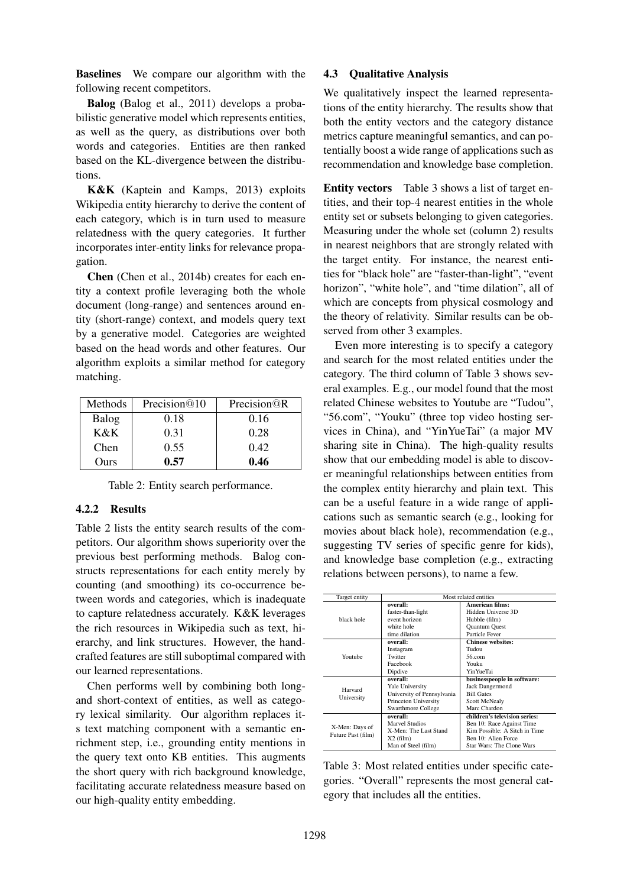Baselines We compare our algorithm with the following recent competitors.

Balog (Balog et al., 2011) develops a probabilistic generative model which represents entities, as well as the query, as distributions over both words and categories. Entities are then ranked based on the KL-divergence between the distributions.

K&K (Kaptein and Kamps, 2013) exploits Wikipedia entity hierarchy to derive the content of each category, which is in turn used to measure relatedness with the query categories. It further incorporates inter-entity links for relevance propagation.

Chen (Chen et al., 2014b) creates for each entity a context profile leveraging both the whole document (long-range) and sentences around entity (short-range) context, and models query text by a generative model. Categories are weighted based on the head words and other features. Our algorithm exploits a similar method for category matching.

| Methods | Precision@10 | Precision <sup><i>QR</i></sup> |
|---------|--------------|--------------------------------|
| Balog   | 0.18         | 0.16                           |
| K&K     | 0.31         | 0.28                           |
| Chen    | 0.55         | 0.42                           |
| Ours    | 0.57         | 0.46                           |

|  |  |  | Table 2: Entity search performance. |
|--|--|--|-------------------------------------|
|--|--|--|-------------------------------------|

# 4.2.2 Results

Table 2 lists the entity search results of the competitors. Our algorithm shows superiority over the previous best performing methods. Balog constructs representations for each entity merely by counting (and smoothing) its co-occurrence between words and categories, which is inadequate to capture relatedness accurately. K&K leverages the rich resources in Wikipedia such as text, hierarchy, and link structures. However, the handcrafted features are still suboptimal compared with our learned representations.

Chen performs well by combining both longand short-context of entities, as well as category lexical similarity. Our algorithm replaces its text matching component with a semantic enrichment step, i.e., grounding entity mentions in the query text onto KB entities. This augments the short query with rich background knowledge, facilitating accurate relatedness measure based on our high-quality entity embedding.

### 4.3 Qualitative Analysis

We qualitatively inspect the learned representations of the entity hierarchy. The results show that both the entity vectors and the category distance metrics capture meaningful semantics, and can potentially boost a wide range of applications such as recommendation and knowledge base completion.

Entity vectors Table 3 shows a list of target entities, and their top-4 nearest entities in the whole entity set or subsets belonging to given categories. Measuring under the whole set (column 2) results in nearest neighbors that are strongly related with the target entity. For instance, the nearest entities for "black hole" are "faster-than-light", "event horizon", "white hole", and "time dilation", all of which are concepts from physical cosmology and the theory of relativity. Similar results can be observed from other 3 examples.

Even more interesting is to specify a category and search for the most related entities under the category. The third column of Table 3 shows several examples. E.g., our model found that the most related Chinese websites to Youtube are "Tudou", "56.com", "Youku" (three top video hosting services in China), and "YinYueTai" (a major MV sharing site in China). The high-quality results show that our embedding model is able to discover meaningful relationships between entities from the complex entity hierarchy and plain text. This can be a useful feature in a wide range of applications such as semantic search (e.g., looking for movies about black hole), recommendation (e.g., suggesting TV series of specific genre for kids), and knowledge base completion (e.g., extracting relations between persons), to name a few.

| Target entity                        | Most related entities      |                               |  |
|--------------------------------------|----------------------------|-------------------------------|--|
|                                      | overall:                   | American films:               |  |
| black hole                           | faster-than-light          | Hidden Universe 3D            |  |
|                                      | event horizon              | Hubble (film)                 |  |
|                                      | white hole                 | Quantum Quest                 |  |
|                                      | time dilation              | Particle Fever                |  |
|                                      | overall:                   | <b>Chinese websites:</b>      |  |
|                                      | Instagram                  | Tudou                         |  |
| Youtube                              | Twitter                    | 56.com                        |  |
|                                      | Facebook                   | Youku                         |  |
|                                      | Dipdive                    | Yin YueTai                    |  |
| Harvard                              | overall:                   | businesspeople in software:   |  |
|                                      | Yale University            | Jack Dangermond               |  |
|                                      | University of Pennsylvania | <b>Bill Gates</b>             |  |
| University                           | Princeton University       | Scott McNealy                 |  |
|                                      | Swarthmore College         | Marc Chardon                  |  |
| X-Men: Days of<br>Future Past (film) | overall:                   | children's television series: |  |
|                                      | Marvel Studios             | Ben 10: Race Against Time     |  |
|                                      | X-Men: The Last Stand      | Kim Possible: A Sitch in Time |  |
|                                      | $X2$ (film)                | Ben 10: Alien Force           |  |
|                                      | Man of Steel (film)        | Star Wars: The Clone Wars     |  |

Table 3: Most related entities under specific categories. "Overall" represents the most general category that includes all the entities.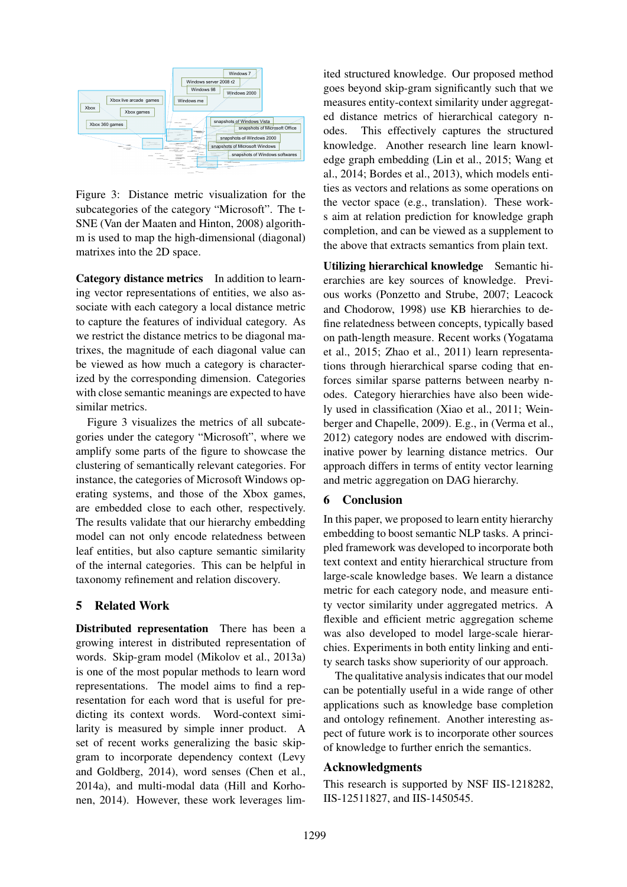

Figure 3: Distance metric visualization for the subcategories of the category "Microsoft". The t-SNE (Van der Maaten and Hinton, 2008) algorithm is used to map the high-dimensional (diagonal) matrixes into the 2D space.

Category distance metrics In addition to learning vector representations of entities, we also associate with each category a local distance metric to capture the features of individual category. As we restrict the distance metrics to be diagonal matrixes, the magnitude of each diagonal value can be viewed as how much a category is characterized by the corresponding dimension. Categories with close semantic meanings are expected to have similar metrics.

Figure 3 visualizes the metrics of all subcategories under the category "Microsoft", where we amplify some parts of the figure to showcase the clustering of semantically relevant categories. For instance, the categories of Microsoft Windows operating systems, and those of the Xbox games, are embedded close to each other, respectively. The results validate that our hierarchy embedding model can not only encode relatedness between leaf entities, but also capture semantic similarity of the internal categories. This can be helpful in taxonomy refinement and relation discovery.

# 5 Related Work

Distributed representation There has been a growing interest in distributed representation of words. Skip-gram model (Mikolov et al., 2013a) is one of the most popular methods to learn word representations. The model aims to find a representation for each word that is useful for predicting its context words. Word-context similarity is measured by simple inner product. A set of recent works generalizing the basic skipgram to incorporate dependency context (Levy and Goldberg, 2014), word senses (Chen et al., 2014a), and multi-modal data (Hill and Korhonen, 2014). However, these work leverages lim-

ited structured knowledge. Our proposed method goes beyond skip-gram significantly such that we measures entity-context similarity under aggregated distance metrics of hierarchical category nodes. This effectively captures the structured knowledge. Another research line learn knowledge graph embedding (Lin et al., 2015; Wang et al., 2014; Bordes et al., 2013), which models entities as vectors and relations as some operations on the vector space (e.g., translation). These works aim at relation prediction for knowledge graph completion, and can be viewed as a supplement to the above that extracts semantics from plain text.

Utilizing hierarchical knowledge Semantic hierarchies are key sources of knowledge. Previous works (Ponzetto and Strube, 2007; Leacock and Chodorow, 1998) use KB hierarchies to define relatedness between concepts, typically based on path-length measure. Recent works (Yogatama et al., 2015; Zhao et al., 2011) learn representations through hierarchical sparse coding that enforces similar sparse patterns between nearby nodes. Category hierarchies have also been widely used in classification (Xiao et al., 2011; Weinberger and Chapelle, 2009). E.g., in (Verma et al., 2012) category nodes are endowed with discriminative power by learning distance metrics. Our approach differs in terms of entity vector learning and metric aggregation on DAG hierarchy.

# 6 Conclusion

In this paper, we proposed to learn entity hierarchy embedding to boost semantic NLP tasks. A principled framework was developed to incorporate both text context and entity hierarchical structure from large-scale knowledge bases. We learn a distance metric for each category node, and measure entity vector similarity under aggregated metrics. A flexible and efficient metric aggregation scheme was also developed to model large-scale hierarchies. Experiments in both entity linking and entity search tasks show superiority of our approach.

The qualitative analysis indicates that our model can be potentially useful in a wide range of other applications such as knowledge base completion and ontology refinement. Another interesting aspect of future work is to incorporate other sources of knowledge to further enrich the semantics.

# Acknowledgments

This research is supported by NSF IIS-1218282, IIS-12511827, and IIS-1450545.